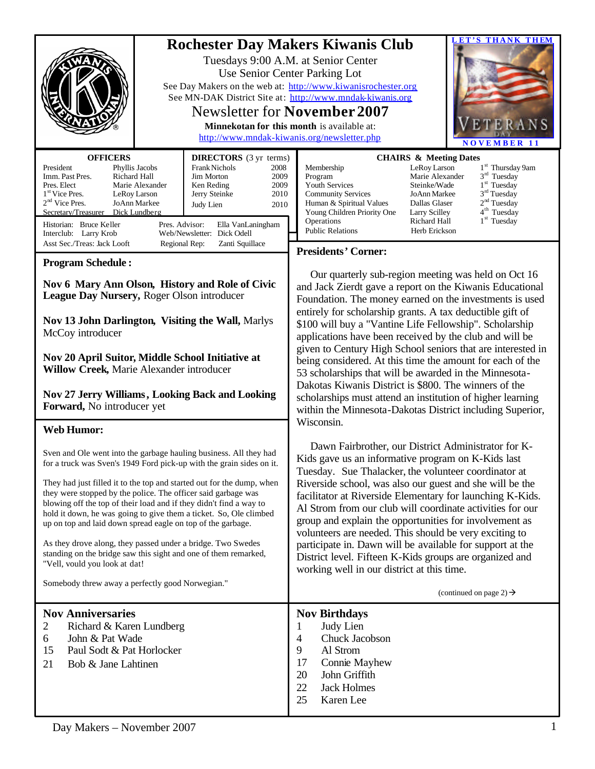| <b>OFFICERS</b><br><b>DIRECTORS</b> (3 yr terms)<br>President<br><b>Frank Nichols</b><br>Phyllis Jacobs<br>2008<br>Imm. Past Pres.<br>Richard Hall<br>Jim Morton<br>2009<br>Marie Alexander<br>2009<br>Pres. Elect<br>Ken Reding<br>1 <sup>st</sup> Vice Pres.<br>Jerry Steinke<br>LeRoy Larson<br>2010<br>2 <sup>nd</sup> Vice Pres.<br>JoAnn Markee<br>2010<br>Judy Lien<br>Secretary/Treasurer<br>Dick Lundberg                                                                                                                                                                                                                                                                                                                                                                                                                                                                                                                                                                                                                                                                         | <b>BT2S THANK THEM</b><br><b>Rochester Day Makers Kiwanis Club</b><br>Tuesdays 9:00 A.M. at Senior Center<br>Use Senior Center Parking Lot<br>See Day Makers on the web at: http://www.kiwanisrochester.org<br>See MN-DAK District Site at: http://www.mndak-kiwanis.org<br><b>Newsletter for November 2007</b><br>Minnekotan for this month is available at:<br>http://www.mndak-kiwanis.org/newsletter.php<br><b>NOVEMBER 11</b><br><b>CHAIRS &amp; Meeting Dates</b><br>1 <sup>st</sup> Thursday 9am<br>Membership<br>LeRoy Larson<br>3 <sup>rd</sup> Tuesday<br>Program<br>Marie Alexander<br>$1st$ Tuesday<br>Youth Services<br>Steinke/Wade<br>3 <sup>rd</sup> Tuesday<br><b>Community Services</b><br>JoAnn Markee<br>2 <sup>nd</sup> Tuesday<br>Human & Spiritual Values<br>Dallas Glaser<br>4 <sup>th</sup> Tuesday<br>Young Children Priority One<br>Larry Scilley                                                                                                                                                                                                                                                                                                                                                                                                                                                                                                                                                             |
|--------------------------------------------------------------------------------------------------------------------------------------------------------------------------------------------------------------------------------------------------------------------------------------------------------------------------------------------------------------------------------------------------------------------------------------------------------------------------------------------------------------------------------------------------------------------------------------------------------------------------------------------------------------------------------------------------------------------------------------------------------------------------------------------------------------------------------------------------------------------------------------------------------------------------------------------------------------------------------------------------------------------------------------------------------------------------------------------|------------------------------------------------------------------------------------------------------------------------------------------------------------------------------------------------------------------------------------------------------------------------------------------------------------------------------------------------------------------------------------------------------------------------------------------------------------------------------------------------------------------------------------------------------------------------------------------------------------------------------------------------------------------------------------------------------------------------------------------------------------------------------------------------------------------------------------------------------------------------------------------------------------------------------------------------------------------------------------------------------------------------------------------------------------------------------------------------------------------------------------------------------------------------------------------------------------------------------------------------------------------------------------------------------------------------------------------------------------------------------------------------------------------------------------------|
| Historian: Bruce Keller<br>Pres. Advisor:<br>Ella VanLaningham<br>Web/Newsletter: Dick Odell<br>Interclub: Larry Krob<br>Asst Sec./Treas: Jack Looft<br>Zanti Squillace<br>Regional Rep:                                                                                                                                                                                                                                                                                                                                                                                                                                                                                                                                                                                                                                                                                                                                                                                                                                                                                                   | $1st$ Tuesday<br>Operations<br>Richard Hall<br><b>Public Relations</b><br>Herb Erickson                                                                                                                                                                                                                                                                                                                                                                                                                                                                                                                                                                                                                                                                                                                                                                                                                                                                                                                                                                                                                                                                                                                                                                                                                                                                                                                                                  |
| <b>Program Schedule:</b><br>Nov 6 Mary Ann Olson, History and Role of Civic<br>League Day Nursery, Roger Olson introducer<br>Nov 13 John Darlington, Visiting the Wall, Marlys<br>McCoy introducer<br>Nov 20 April Suitor, Middle School Initiative at<br><b>Willow Creek, Marie Alexander introducer</b><br><b>Nov 27 Jerry Williams, Looking Back and Looking</b><br>Forward, No introducer yet<br><b>Web Humor:</b><br>Sven and Ole went into the garbage hauling business. All they had<br>for a truck was Sven's 1949 Ford pick-up with the grain sides on it.<br>They had just filled it to the top and started out for the dump, when<br>they were stopped by the police. The officer said garbage was<br>blowing off the top of their load and if they didn't find a way to<br>hold it down, he was going to give them a ticket. So, Ole climbed<br>up on top and laid down spread eagle on top of the garbage.<br>As they drove along, they passed under a bridge. Two Swedes<br>standing on the bridge saw this sight and one of them remarked,<br>"Vell, vould you look at dat! | <b>Presidents' Corner:</b><br>Our quarterly sub-region meeting was held on Oct 16<br>and Jack Zierdt gave a report on the Kiwanis Educational<br>Foundation. The money earned on the investments is used<br>entirely for scholarship grants. A tax deductible gift of<br>\$100 will buy a "Vantine Life Fellowship". Scholarship<br>applications have been received by the club and will be<br>given to Century High School seniors that are interested in<br>being considered. At this time the amount for each of the<br>53 scholarships that will be awarded in the Minnesota-<br>Dakotas Kiwanis District is \$800. The winners of the<br>scholarships must attend an institution of higher learning<br>within the Minnesota-Dakotas District including Superior,<br>Wisconsin.<br>Dawn Fairbrother, our District Administrator for K-<br>Kids gave us an informative program on K-Kids last<br>Tuesday. Sue Thalacker, the volunteer coordinator at<br>Riverside school, was also our guest and she will be the<br>facilitator at Riverside Elementary for launching K-Kids.<br>Al Strom from our club will coordinate activities for our<br>group and explain the opportunities for involvement as<br>volunteers are needed. This should be very exciting to<br>participate in. Dawn will be available for support at the<br>District level. Fifteen K-Kids groups are organized and<br>working well in our district at this time. |
| Somebody threw away a perfectly good Norwegian."                                                                                                                                                                                                                                                                                                                                                                                                                                                                                                                                                                                                                                                                                                                                                                                                                                                                                                                                                                                                                                           | (continued on page 2) $\rightarrow$                                                                                                                                                                                                                                                                                                                                                                                                                                                                                                                                                                                                                                                                                                                                                                                                                                                                                                                                                                                                                                                                                                                                                                                                                                                                                                                                                                                                      |
| <b>Nov Anniversaries</b><br>Richard & Karen Lundberg<br>2<br>6<br>John & Pat Wade<br>Paul Sodt & Pat Horlocker<br>15<br>21<br>Bob & Jane Lahtinen                                                                                                                                                                                                                                                                                                                                                                                                                                                                                                                                                                                                                                                                                                                                                                                                                                                                                                                                          | <b>Nov Birthdays</b><br>Judy Lien<br>1<br>Chuck Jacobson<br>4<br>9<br>Al Strom<br>Connie Mayhew<br>17<br>John Griffith<br>20<br>22<br><b>Jack Holmes</b><br>25<br>Karen Lee                                                                                                                                                                                                                                                                                                                                                                                                                                                                                                                                                                                                                                                                                                                                                                                                                                                                                                                                                                                                                                                                                                                                                                                                                                                              |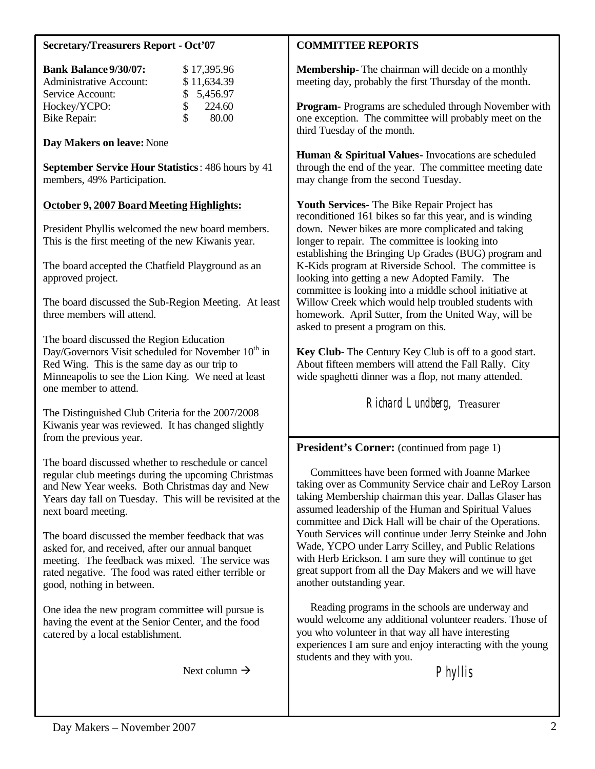# **Secretary/Treasurers Report - Oct'07**

| \$17,395.96  |
|--------------|
| \$11,634.39  |
| \$5,456.97   |
| 224.60<br>S. |
| 80.00<br>SS. |
|              |

**Day Makers on leave:** None

**September Service Hour Statistics**: 486 hours by 41 members, 49% Participation.

# **October 9, 2007 Board Meeting Highlights:**

President Phyllis welcomed the new board members. This is the first meeting of the new Kiwanis year.

The board accepted the Chatfield Playground as an approved project.

The board discussed the Sub-Region Meeting. At least three members will attend.

The board discussed the Region Education Day/Governors Visit scheduled for November  $10<sup>th</sup>$  in Red Wing. This is the same day as our trip to Minneapolis to see the Lion King. We need at least one member to attend.

The Distinguished Club Criteria for the 2007/2008 Kiwanis year was reviewed. It has changed slightly from the previous year.

The board discussed whether to reschedule or cancel regular club meetings during the upcoming Christmas and New Year weeks. Both Christmas day and New Years day fall on Tuesday. This will be revisited at the next board meeting.

The board discussed the member feedback that was asked for, and received, after our annual banquet meeting. The feedback was mixed. The service was rated negative. The food was rated either terrible or good, nothing in between.

One idea the new program committee will pursue is having the event at the Senior Center, and the food catered by a local establishment.

Next column  $\rightarrow$ 

## **COMMITTEE REPORTS**

**Membership-** The chairman will decide on a monthly meeting day, probably the first Thursday of the month.

**Program-** Programs are scheduled through November with one exception. The committee will probably meet on the third Tuesday of the month.

**Human & Spiritual Values-** Invocations are scheduled through the end of the year. The committee meeting date may change from the second Tuesday.

**Youth Services-** The Bike Repair Project has reconditioned 161 bikes so far this year, and is winding down. Newer bikes are more complicated and taking longer to repair. The committee is looking into establishing the Bringing Up Grades (BUG) program and K-Kids program at Riverside School. The committee is looking into getting a new Adopted Family. The committee is looking into a middle school initiative at Willow Creek which would help troubled students with homework. April Sutter, from the United Way, will be asked to present a program on this.

**Key Club-** The Century Key Club is off to a good start. About fifteen members will attend the Fall Rally. City wide spaghetti dinner was a flop, not many attended.

Richard Lundberg, Treasurer

**President's Corner:** (continued from page 1)

 Committees have been formed with Joanne Markee taking over as Community Service chair and LeRoy Larson taking Membership chairman this year. Dallas Glaser has assumed leadership of the Human and Spiritual Values committee and Dick Hall will be chair of the Operations. Youth Services will continue under Jerry Steinke and John Wade, YCPO under Larry Scilley, and Public Relations with Herb Erickson. I am sure they will continue to get great support from all the Day Makers and we will have another outstanding year.

 Reading programs in the schools are underway and would welcome any additional volunteer readers. Those of you who volunteer in that way all have interesting experiences I am sure and enjoy interacting with the young students and they with you.

Phyllis